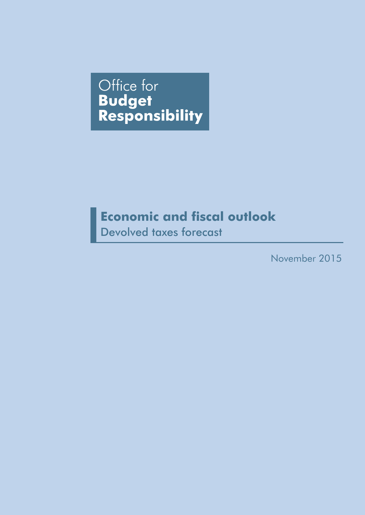Office for **Budget<br>Responsibility** 

# **Economic and fiscal outlook**

Devolved taxes forecast

November 2015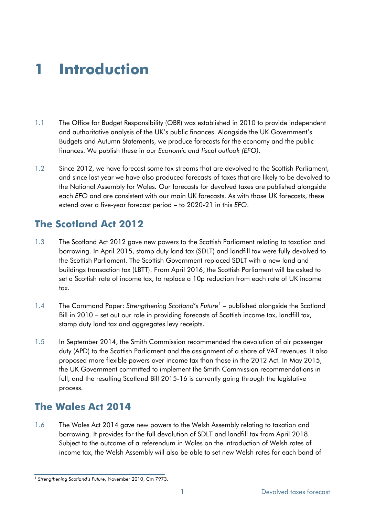# **1 Introduction**

- 1.1 The Office for Budget Responsibility (OBR) was established in 2010 to provide independent and authoritative analysis of the UK's public finances. Alongside the UK Government's Budgets and Autumn Statements, we produce forecasts for the economy and the public finances. We publish these in our *Economic and fiscal outlook (EFO)*.
- 1.2 Since 2012, we have forecast some tax streams that are devolved to the Scottish Parliament, and since last year we have also produced forecasts of taxes that are likely to be devolved to the National Assembly for Wales. Our forecasts for devolved taxes are published alongside each *EFO* and are consistent with our main UK forecasts. As with those UK forecasts, these extend over a five-year forecast period – to 2020-21 in this *EFO*.

# **The Scotland Act 2012**

- 1.3 The Scotland Act 2012 gave new powers to the Scottish Parliament relating to taxation and borrowing. In April 2015, stamp duty land tax (SDLT) and landfill tax were fully devolved to the Scottish Parliament. The Scottish Government replaced SDLT with a new land and buildings transaction tax (LBTT). From April 2016, the Scottish Parliament will be asked to set a Scottish rate of income tax, to replace a 10p reduction from each rate of UK income tax.
- 1.4 The Command Paper: *Strengthening Scotland's Future*[1](#page-2-0) published alongside the Scotland Bill in 2010 – set out our role in providing forecasts of Scottish income tax, landfill tax, stamp duty land tax and aggregates levy receipts.
- 1.5 In September 2014, the Smith Commission recommended the devolution of air passenger duty (APD) to the Scottish Parliament and the assignment of a share of VAT revenues. It also proposed more flexible powers over income tax than those in the 2012 Act. In May 2015, the UK Government committed to implement the Smith Commission recommendations in full, and the resulting Scotland Bill 2015-16 is currently going through the legislative process.

# **The Wales Act 2014**

1.6 The Wales Act 2014 gave new powers to the Welsh Assembly relating to taxation and borrowing. It provides for the full devolution of SDLT and landfill tax from April 2018. Subject to the outcome of a referendum in Wales on the introduction of Welsh rates of income tax, the Welsh Assembly will also be able to set new Welsh rates for each band of

<span id="page-2-0"></span><sup>&</sup>lt;sup>1</sup> Strengthening Scotland's Future, November 2010, Cm 7973.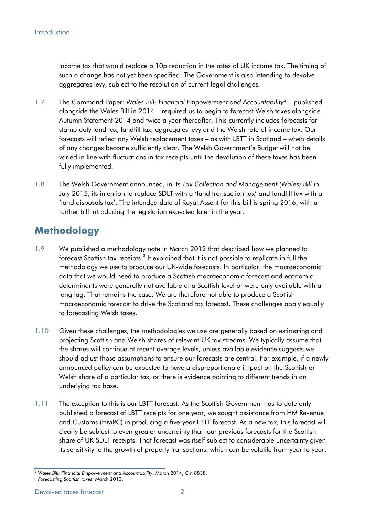income tax that would replace a 10p reduction in the rates of UK income tax. The timing of such a change has not yet been specified. The Government is also intending to devolve aggregates levy, subject to the resolution of current legal challenges.

- 1.7 The Command Paper: *Wales Bill: Financial Empowerment and Accountability[2](#page-3-0)* published alongside the Wales Bill in 2014 – required us to begin to forecast Welsh taxes alongside Autumn Statement 2014 and twice a year thereafter. This currently includes forecasts for stamp duty land tax, landfill tax, aggregates levy and the Welsh rate of income tax. Our forecasts will reflect any Welsh replacement taxes – as with LBTT in Scotland – when details of any changes become sufficiently clear. The Welsh Government's Budget will not be varied in line with fluctuations in tax receipts until the devolution of these taxes has been fully implemented.
- 1.8 The Welsh Government announced, in its *Tax Collection and Management (Wales) Bill* in July 2015, its intention to replace SDLT with a 'land transaction tax' and landfill tax with a 'land disposals tax'. The intended date of Royal Assent for this bill is spring 2016, with a further bill introducing the legislation expected later in the year.

# **Methodology**

- 1.9 We published a methodology note in March 2012 that described how we planned to forecast Scottish tax receipts.<sup>[3](#page-3-1)</sup> It explained that it is not possible to replicate in full the methodology we use to produce our UK-wide forecasts. In particular, the macroeconomic data that we would need to produce a Scottish macroeconomic forecast and economic determinants were generally not available at a Scottish level or were only available with a long lag. That remains the case. We are therefore not able to produce a Scottish macroeconomic forecast to drive the Scotland tax forecast. These challenges apply equally to forecasting Welsh taxes.
- 1.10 Given these challenges, the methodologies we use are generally based on estimating and projecting Scottish and Welsh shares of relevant UK tax streams. We typically assume that the shares will continue at recent average levels, unless available evidence suggests we should adjust those assumptions to ensure our forecasts are central. For example, if a newly announced policy can be expected to have a disproportionate impact on the Scottish or Welsh share of a particular tax, or there is evidence pointing to different trends in an underlying tax base.
- 1.11 The exception to this is our LBTT forecast. As the Scottish Government has to date only published a forecast of LBTT receipts for one year, we sought assistance from HM Revenue and Customs (HMRC) in producing a five-year LBTT forecast. As a new tax, this forecast will clearly be subject to even greater uncertainty than our previous forecasts for the Scottish share of UK SDLT receipts. That forecast was itself subject to considerable uncertainty given its sensitivity to the growth of property transactions, which can be volatile from year to year,

<span id="page-3-0"></span><sup>2</sup> *Wales Bill: Financial Empowerment and Accountability*, March 2014, Cm 8838.

<span id="page-3-1"></span><sup>3</sup> *Forecasting Scottish taxes*, March 2012.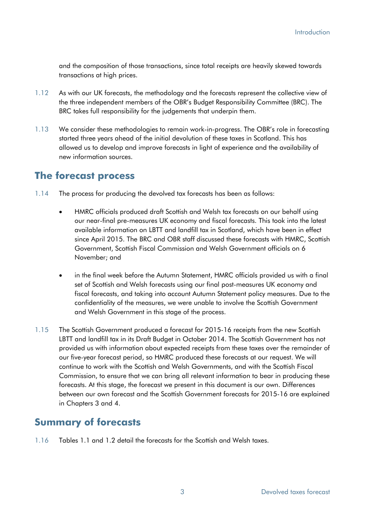and the composition of those transactions, since total receipts are heavily skewed towards transactions at high prices.

- 1.12 As with our UK forecasts, the methodology and the forecasts represent the collective view of the three independent members of the OBR's Budget Responsibility Committee (BRC). The BRC takes full responsibility for the judgements that underpin them.
- 1.13 We consider these methodologies to remain work-in-progress. The OBR's role in forecasting started three years ahead of the initial devolution of these taxes in Scotland. This has allowed us to develop and improve forecasts in light of experience and the availability of new information sources.

# **The forecast process**

- 1.14 The process for producing the devolved tax forecasts has been as follows:
	- HMRC officials produced draft Scottish and Welsh tax forecasts on our behalf using our near-final pre-measures UK economy and fiscal forecasts. This took into the latest available information on LBTT and landfill tax in Scotland, which have been in effect since April 2015. The BRC and OBR staff discussed these forecasts with HMRC, Scottish Government, Scottish Fiscal Commission and Welsh Government officials on 6 November; and
	- in the final week before the Autumn Statement, HMRC officials provided us with a final set of Scottish and Welsh forecasts using our final post-measures UK economy and fiscal forecasts, and taking into account Autumn Statement policy measures. Due to the confidentiality of the measures, we were unable to involve the Scottish Government and Welsh Government in this stage of the process.
- 1.15 The Scottish Government produced a forecast for 2015-16 receipts from the new Scottish LBTT and landfill tax in its Draft Budget in October 2014. The Scottish Government has not provided us with information about expected receipts from these taxes over the remainder of our five-year forecast period, so HMRC produced these forecasts at our request. We will continue to work with the Scottish and Welsh Governments, and with the Scottish Fiscal Commission, to ensure that we can bring all relevant information to bear in producing these forecasts. At this stage, the forecast we present in this document is our own. Differences between our own forecast and the Scottish Government forecasts for 2015-16 are explained in Chapters 3 and 4.

# **Summary of forecasts**

1.16 Tables 1.1 and 1.2 detail the forecasts for the Scottish and Welsh taxes.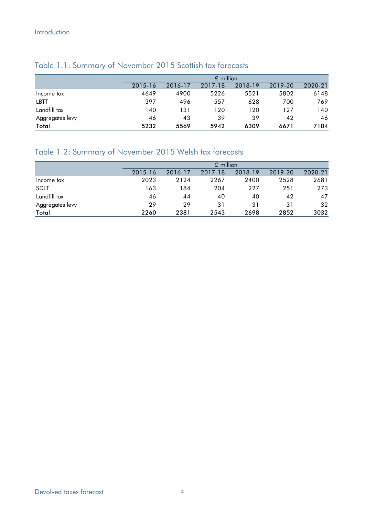|                 |         | $£$ million |         |         |         |         |  |  |  |  |  |
|-----------------|---------|-------------|---------|---------|---------|---------|--|--|--|--|--|
|                 | 2015-16 | 2016-17     | 2017-18 | 2018-19 | 2019-20 | 2020-21 |  |  |  |  |  |
| Income tax      | 4649    | 4900        | 5226    | 5521    | 5802    | 6148    |  |  |  |  |  |
| LBTT            | 397     | 496         | 557     | 628     | 700     | 769     |  |  |  |  |  |
| Landfill tax    | 140     | 131         | 120     | 120     | 127     | 140     |  |  |  |  |  |
| Aggregates levy | 46      | 43          | 39      | 39      | 42      | 46      |  |  |  |  |  |
| Total           | 5232    | 5569        | 5942    | 6309    | 6671    | 7104    |  |  |  |  |  |

## Table 1.1: Summary of November 2015 Scottish tax forecasts

# Table 1.2: Summary of November 2015 Welsh tax forecasts

|                 |         |         | $£$ million |         |         |         |
|-----------------|---------|---------|-------------|---------|---------|---------|
|                 | 2015-16 | 2016-17 | 2017-18     | 2018-19 | 2019-20 | 2020-21 |
| Income tax      | 2023    | 2124    | 2267        | 2400    | 2528    | 2681    |
| <b>SDLT</b>     | 163     | 184     | 204         | 227     | 251     | 273     |
| Landfill tax    | 46      | 44      | 40          | 40      | 42      | 47      |
| Aggregates levy | 29      | 29      | 31          | 31      | 31      | 32      |
| Total           | 2260    | 2381    | 2543        | 2698    | 2852    | 3032    |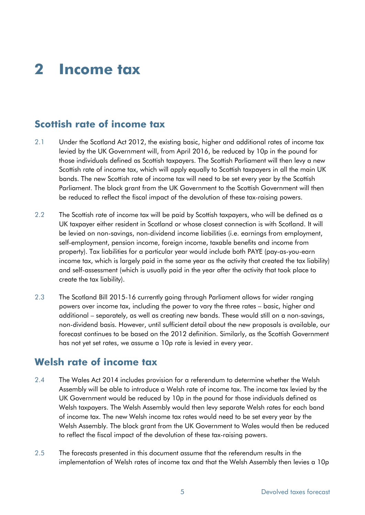# **2 Income tax**

# **Scottish rate of income tax**

- 2.1 Under the Scotland Act 2012, the existing basic, higher and additional rates of income tax levied by the UK Government will, from April 2016, be reduced by 10p in the pound for those individuals defined as Scottish taxpayers. The Scottish Parliament will then levy a new Scottish rate of income tax, which will apply equally to Scottish taxpayers in all the main UK bands. The new Scottish rate of income tax will need to be set every year by the Scottish Parliament. The block grant from the UK Government to the Scottish Government will then be reduced to reflect the fiscal impact of the devolution of these tax-raising powers.
- 2.2 The Scottish rate of income tax will be paid by Scottish taxpayers, who will be defined as a UK taxpayer either resident in Scotland or whose closest connection is with Scotland. It will be levied on non-savings, non-dividend income liabilities (i.e. earnings from employment, self-employment, pension income, foreign income, taxable benefits and income from property). Tax liabilities for a particular year would include both PAYE (pay-as-you-earn income tax, which is largely paid in the same year as the activity that created the tax liability) and self-assessment (which is usually paid in the year after the activity that took place to create the tax liability).
- 2.3 The Scotland Bill 2015-16 currently going through Parliament allows for wider ranging powers over income tax, including the power to vary the three rates – basic, higher and additional – separately, as well as creating new bands. These would still on a non-savings, non-dividend basis. However, until sufficient detail about the new proposals is available, our forecast continues to be based on the 2012 definition. Similarly, as the Scottish Government has not yet set rates, we assume a 10p rate is levied in every year.

# **Welsh rate of income tax**

- 2.4 The Wales Act 2014 includes provision for a referendum to determine whether the Welsh Assembly will be able to introduce a Welsh rate of income tax. The income tax levied by the UK Government would be reduced by 10p in the pound for those individuals defined as Welsh taxpayers. The Welsh Assembly would then levy separate Welsh rates for each band of income tax. The new Welsh income tax rates would need to be set every year by the Welsh Assembly. The block grant from the UK Government to Wales would then be reduced to reflect the fiscal impact of the devolution of these tax-raising powers.
- 2.5 The forecasts presented in this document assume that the referendum results in the implementation of Welsh rates of income tax and that the Welsh Assembly then levies a 10p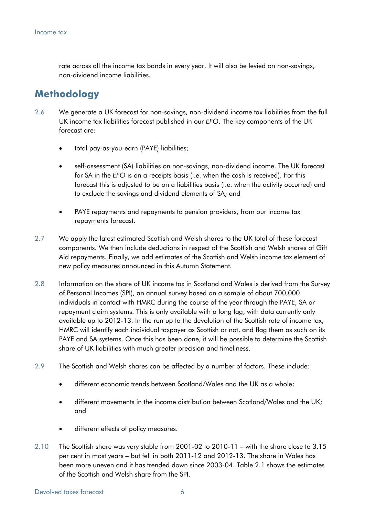rate across all the income tax bands in every year. It will also be levied on non-savings, non-dividend income liabilities.

# **Methodology**

- 2.6 We generate a UK forecast for non-savings, non-dividend income tax liabilities from the full UK income tax liabilities forecast published in our *EFO*. The key components of the UK forecast are:
	- total pay-as-you-earn (PAYE) liabilities;
	- self-assessment (SA) liabilities on non-savings, non-dividend income. The UK forecast for SA in the *EFO* is on a receipts basis (i.e. when the cash is received). For this forecast this is adjusted to be on a liabilities basis (i.e. when the activity occurred) and to exclude the savings and dividend elements of SA; and
	- PAYE repayments and repayments to pension providers, from our income tax repayments forecast.
- 2.7 We apply the latest estimated Scottish and Welsh shares to the UK total of these forecast components. We then include deductions in respect of the Scottish and Welsh shares of Gift Aid repayments. Finally, we add estimates of the Scottish and Welsh income tax element of new policy measures announced in this Autumn Statement.
- 2.8 Information on the share of UK income tax in Scotland and Wales is derived from the Survey of Personal Incomes (SPI), an annual survey based on a sample of about 700,000 individuals in contact with HMRC during the course of the year through the PAYE, SA or repayment claim systems. This is only available with a long lag, with data currently only available up to 2012-13. In the run up to the devolution of the Scottish rate of income tax, HMRC will identify each individual taxpayer as Scottish or not, and flag them as such on its PAYE and SA systems. Once this has been done, it will be possible to determine the Scottish share of UK liabilities with much greater precision and timeliness.
- 2.9 The Scottish and Welsh shares can be affected by a number of factors. These include:
	- different economic trends between Scotland/Wales and the UK as a whole;
	- different movements in the income distribution between Scotland/Wales and the UK; and
	- different effects of policy measures.
- 2.10 The Scottish share was very stable from 2001-02 to 2010-11 with the share close to 3.15 per cent in most years – but fell in both 2011-12 and 2012-13. The share in Wales has been more uneven and it has trended down since 2003-04. Table 2.1 shows the estimates of the Scottish and Welsh share from the SPI.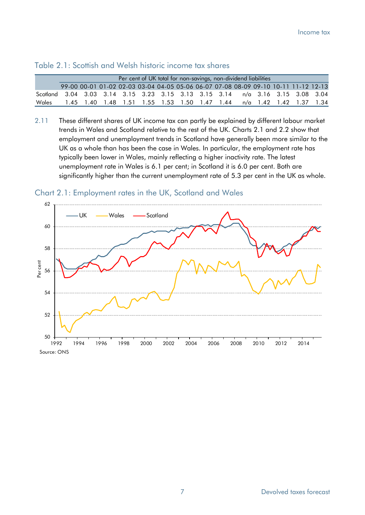| Per cent of UK total for non-savings, non-dividend liabilities                |                                                                                     |  |  |  |  |  |  |  |                                                                      |  |  |  |  |
|-------------------------------------------------------------------------------|-------------------------------------------------------------------------------------|--|--|--|--|--|--|--|----------------------------------------------------------------------|--|--|--|--|
|                                                                               | 99-00 00-01 01-02 02-03 03-04 04-05 05-06 06-07 07-08 08-09 09-10 10-11 11-12 12-13 |  |  |  |  |  |  |  |                                                                      |  |  |  |  |
| Scotland 3.04 3.03 3.14 3.15 3.23 3.15 3.13 3.15 3.14 n/a 3.16 3.15 3.08 3.04 |                                                                                     |  |  |  |  |  |  |  |                                                                      |  |  |  |  |
| Wales                                                                         |                                                                                     |  |  |  |  |  |  |  | 1.45 1.40 1.48 1.51 1.55 1.53 1.50 1.47 1.44 n/a 1.42 1.42 1.37 1.34 |  |  |  |  |

#### Table 2.1: Scottish and Welsh historic income tax shares

2.11 These different shares of UK income tax can partly be explained by different labour market trends in Wales and Scotland relative to the rest of the UK. Charts 2.1 and 2.2 show that employment and unemployment trends in Scotland have generally been more similar to the UK as a whole than has been the case in Wales. In particular, the employment rate has typically been lower in Wales, mainly reflecting a higher inactivity rate. The latest unemployment rate in Wales is 6.1 per cent; in Scotland it is 6.0 per cent. Both are significantly higher than the current unemployment rate of 5.3 per cent in the UK as whole.

Chart 2.1: Employment rates in the UK, Scotland and Wales

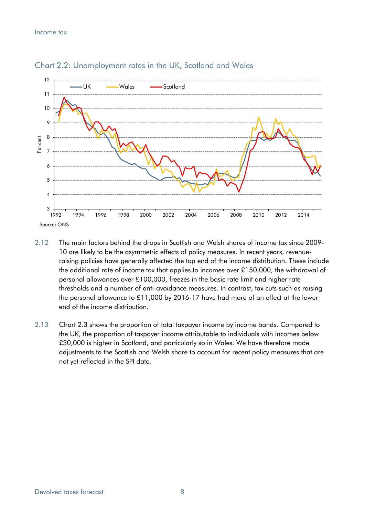

### Chart 2.2: Unemployment rates in the UK, Scotland and Wales

- 2.12 The main factors behind the drops in Scottish and Welsh shares of income tax since 2009- 10 are likely to be the asymmetric effects of policy measures. In recent years, revenueraising policies have generally affected the top end of the income distribution. These include the additional rate of income tax that applies to incomes over £150,000, the withdrawal of personal allowances over £100,000, freezes in the basic rate limit and higher rate thresholds and a number of anti-avoidance measures. In contrast, tax cuts such as raising the personal allowance to £11,000 by 2016-17 have had more of an effect at the lower end of the income distribution.
- 2.13 Chart 2.3 shows the proportion of total taxpayer income by income bands. Compared to the UK, the proportion of taxpayer income attributable to individuals with incomes below £30,000 is higher in Scotland, and particularly so in Wales. We have therefore made adjustments to the Scottish and Welsh share to account for recent policy measures that are not yet reflected in the SPI data.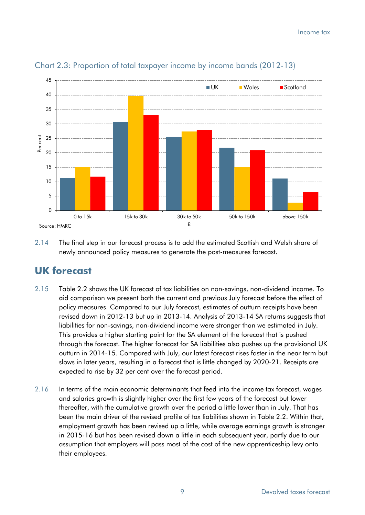

## Chart 2.3: Proportion of total taxpayer income by income bands (2012-13)

2.14 The final step in our forecast process is to add the estimated Scottish and Welsh share of newly announced policy measures to generate the post-measures forecast.

# **UK forecast**

- 2.15 Table 2.2 shows the UK forecast of tax liabilities on non-savings, non-dividend income. To aid comparison we present both the current and previous July forecast before the effect of policy measures. Compared to our July forecast, estimates of outturn receipts have been revised down in 2012-13 but up in 2013-14. Analysis of 2013-14 SA returns suggests that liabilities for non-savings, non-dividend income were stronger than we estimated in July. This provides a higher starting point for the SA element of the forecast that is pushed through the forecast. The higher forecast for SA liabilities also pushes up the provisional UK outturn in 2014-15. Compared with July, our latest forecast rises faster in the near term but slows in later years, resulting in a forecast that is little changed by 2020-21. Receipts are expected to rise by 32 per cent over the forecast period.
- 2.16 In terms of the main economic determinants that feed into the income tax forecast, wages and salaries growth is slightly higher over the first few years of the forecast but lower thereafter, with the cumulative growth over the period a little lower than in July. That has been the main driver of the revised profile of tax liabilities shown in Table 2.2. Within that, employment growth has been revised up a little, while average earnings growth is stronger in 2015-16 but has been revised down a little in each subsequent year, partly due to our assumption that employers will pass most of the cost of the new apprenticeship levy onto their employees.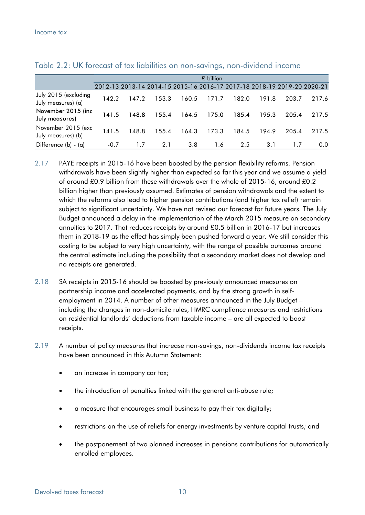|                                            |        |       |       |       | £ billion |       |       |       |                                                                         |
|--------------------------------------------|--------|-------|-------|-------|-----------|-------|-------|-------|-------------------------------------------------------------------------|
|                                            |        |       |       |       |           |       |       |       | 2012-13 2013-14 2014-15 2015-16 2016-17 2017-18 2018-19 2019-20 2020-21 |
| July 2015 (excluding<br>July measures) (a) | 142.2  | 147.2 | 153.3 | 160.5 | 171.7     | 182.0 | 191.8 | 203.7 | 217.6                                                                   |
| November 2015 (inc<br>July measures)       | 141.5  | 148.8 | 155.4 | 164.5 | 175.0     | 185.4 | 195.3 | 205.4 | 217.5                                                                   |
| November 2015 (exc<br>July measures) (b)   | 141.5  | 148.8 | 155.4 | 164.3 | 173.3     | 184.5 | 194.9 | 205.4 | 217.5                                                                   |
| Difference (b) - (a)                       | $-0.7$ |       | 2.1   | 3.8   | 1.6       | 2.5   | 3.1   |       | $0.0^{\circ}$                                                           |

Table 2.2: UK forecast of tax liabilities on non-savings, non-dividend income

- 2.17 PAYE receipts in 2015-16 have been boosted by the pension flexibility reforms. Pension withdrawals have been slightly higher than expected so far this year and we assume a yield of around £0.9 billion from these withdrawals over the whole of 2015-16, around £0.2 billion higher than previously assumed. Estimates of pension withdrawals and the extent to which the reforms also lead to higher pension contributions (and higher tax relief) remain subject to significant uncertainty. We have not revised our forecast for future years. The July Budget announced a delay in the implementation of the March 2015 measure on secondary annuities to 2017. That reduces receipts by around £0.5 billion in 2016-17 but increases them in 2018-19 as the effect has simply been pushed forward a year. We still consider this costing to be subject to very high uncertainty, with the range of possible outcomes around the central estimate including the possibility that a secondary market does not develop and no receipts are generated.
- 2.18 SA receipts in 2015-16 should be boosted by previously announced measures on partnership income and accelerated payments, and by the strong growth in selfemployment in 2014. A number of other measures announced in the July Budget – including the changes in non-domicile rules, HMRC compliance measures and restrictions on residential landlords' deductions from taxable income – are all expected to boost receipts.
- 2.19 A number of policy measures that increase non-savings, non-dividends income tax receipts have been announced in this Autumn Statement:
	- an increase in company car tax;
	- the introduction of penalties linked with the general anti-abuse rule;
	- a measure that encourages small business to pay their tax digitally;
	- restrictions on the use of reliefs for energy investments by venture capital trusts; and
	- the postponement of two planned increases in pensions contributions for automatically enrolled employees.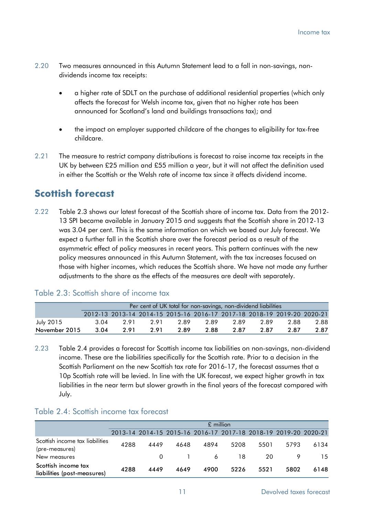- 2.20 Two measures announced in this Autumn Statement lead to a fall in non-savings, nondividends income tax receipts:
	- a higher rate of SDLT on the purchase of additional residential properties (which only affects the forecast for Welsh income tax, given that no higher rate has been announced for Scotland's land and buildings transactions tax); and
	- the impact on employer supported childcare of the changes to eligibility for tax-free childcare.
- 2.21 The measure to restrict company distributions is forecast to raise income tax receipts in the UK by between £25 million and £55 million a year, but it will not affect the definition used in either the Scottish or the Welsh rate of income tax since it affects dividend income.

# **Scottish forecast**

2.22 Table 2.3 shows our latest forecast of the Scottish share of income tax. Data from the 2012- 13 SPI became available in January 2015 and suggests that the Scottish share in 2012-13 was 3.04 per cent. This is the same information on which we based our July forecast. We expect a further fall in the Scottish share over the forecast period as a result of the asymmetric effect of policy measures in recent years. This pattern continues with the new policy measures announced in this Autumn Statement, with the tax increases focused on those with higher incomes, which reduces the Scottish share. We have not made any further adjustments to the share as the effects of the measures are dealt with separately.

|               | Per cent of UK total for non-savings, non-dividend liabilities |                                                                         |     |      |      |      |      |      |      |  |  |
|---------------|----------------------------------------------------------------|-------------------------------------------------------------------------|-----|------|------|------|------|------|------|--|--|
|               |                                                                |                                                                         |     |      |      |      |      |      |      |  |  |
|               |                                                                | 2012-13 2013-14 2014-15 2015-16 2016-17 2017-18 2018-19 2019-20 2020-21 |     |      |      |      |      |      |      |  |  |
| July 2015     | 3.04                                                           | 2.91                                                                    | 291 | 2.89 | 2.89 | 2.89 | 2.89 | 2.88 | 2.88 |  |  |
| November 2015 | 3.04                                                           | 291                                                                     | 291 | 2.89 | 2.88 | 2.87 | 2.87 | 2.87 | 2.87 |  |  |

## Table 2.3: Scottish share of income tax

2.23 Table 2.4 provides a forecast for Scottish income tax liabilities on non-savings, non-dividend income. These are the liabilities specifically for the Scottish rate. Prior to a decision in the Scottish Parliament on the new Scottish tax rate for 2016-17, the forecast assumes that a 10p Scottish rate will be levied. In line with the UK forecast, we expect higher growth in tax liabilities in the near term but slower growth in the final years of the forecast compared with July.

#### Table 2.4: Scottish income tax forecast

|                                                    |      | $£$ million |      |                                                                 |      |      |      |      |  |  |  |  |
|----------------------------------------------------|------|-------------|------|-----------------------------------------------------------------|------|------|------|------|--|--|--|--|
|                                                    |      |             |      | 2013-14 2014-15 2015-16 2016-17 2017-18 2018-19 2019-20 2020-21 |      |      |      |      |  |  |  |  |
| Scottish income tax liabilities<br>(pre-measures)  | 4288 | 4449        | 4648 | 4894                                                            | 5208 | 5501 | 5793 | 6134 |  |  |  |  |
| New measures                                       |      | 0           |      | -6                                                              | 18   | 20   |      | 15   |  |  |  |  |
| Scottish income tax<br>liabilities (post-measures) | 4288 | 4449        | 4649 | 4900                                                            | 5226 | 5521 | 5802 | 6148 |  |  |  |  |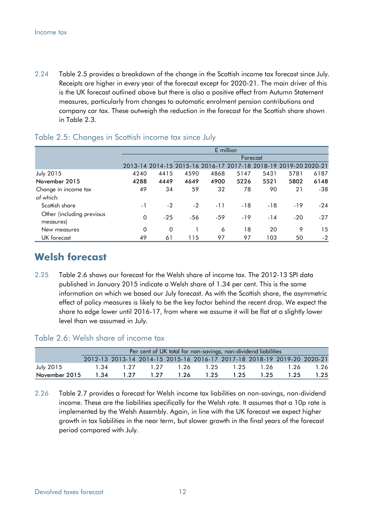2.24 Table 2.5 provides a breakdown of the change in the Scottish income tax forecast since July. Receipts are higher in every year of the forecast except for 2020-21. The main driver of this is the UK forecast outlined above but there is also a positive effect from Autumn Statement measures, particularly from changes to automatic enrolment pension contributions and company car tax. These outweigh the reduction in the forecast for the Scottish share shown in Table 2.3.

|                                        |          |          |                                                                 | $£$ million |          |       |       |       |
|----------------------------------------|----------|----------|-----------------------------------------------------------------|-------------|----------|-------|-------|-------|
|                                        |          |          |                                                                 |             | Forecast |       |       |       |
|                                        |          |          | 2013-14 2014-15 2015-16 2016-17 2017-18 2018-19 2019-20 2020-21 |             |          |       |       |       |
| <b>July 2015</b>                       | 4240     | 4415     | 4590                                                            | 4868        | 5147     | 5431  | 5781  | 6187  |
| November 2015                          | 4288     | 4449     | 4649                                                            | 4900        | 5226     | 5521  | 5802  | 6148  |
| Change in income tax                   | 49       | 34       | 59                                                              | 32          | 78       | 90    | 21    | $-38$ |
| of which:                              |          |          |                                                                 |             |          |       |       |       |
| Scottish share                         | - 1      | $-2$     | $-2$                                                            | $-11$       | $-18$    | $-18$ | $-19$ | $-24$ |
| Other (including previous<br>measures) | 0        | $-25$    | $-56$                                                           | $-59$       | $-19$    | $-14$ | $-20$ | $-27$ |
| New measures                           | $\Omega$ | $\Omega$ |                                                                 | 6           | 18       | 20    | 9     | 15    |
| UK forecast                            | 49       | 61       | 115                                                             | 97          | 97       | 103   | 50    | $-2$  |

#### Table 2.5: Changes in Scottish income tax since July

# **Welsh forecast**

2.25 Table 2.6 shows our forecast for the Welsh share of income tax. The 2012-13 SPI data published in January 2015 indicate a Welsh share of 1.34 per cent. This is the same information on which we based our July forecast. As with the Scottish share, the asymmetric effect of policy measures is likely to be the key factor behind the recent drop. We expect the share to edge lower until 2016-17, from where we assume it will be flat at a slightly lower level than we assumed in July.

#### Table 2.6: Welsh share of income tax

|               | Per cent of UK total for non-savings, non-dividend liabilities |                                                                         |      |      |      |           |      |      |      |  |  |
|---------------|----------------------------------------------------------------|-------------------------------------------------------------------------|------|------|------|-----------|------|------|------|--|--|
|               |                                                                | 2012-13 2013-14 2014-15 2015-16 2016-17 2017-18 2018-19 2019-20 2020-21 |      |      |      |           |      |      |      |  |  |
| July 2015     |                                                                | 134 127                                                                 | 1.27 | 126  |      | 1.25 1.25 | 1,26 | 1.26 | 1.26 |  |  |
| November 2015 | 1.34                                                           | 1.27                                                                    | 127  | 1.26 | 1.25 | 1.25      | 1.25 | 1.25 | 1.25 |  |  |

2.26 Table 2.7 provides a forecast for Welsh income tax liabilities on non-savings, non-dividend income. These are the liabilities specifically for the Welsh rate. It assumes that a 10p rate is implemented by the Welsh Assembly. Again, in line with the UK forecast we expect higher growth in tax liabilities in the near term, but slower growth in the final years of the forecast period compared with July.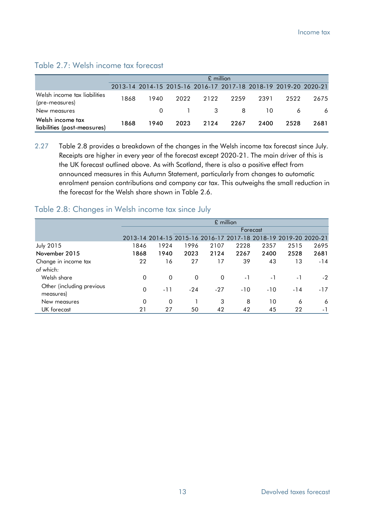### Table 2.7: Welsh income tax forecast

|                                                 |      | $£$ million |      |                                                                 |      |      |      |      |  |  |  |
|-------------------------------------------------|------|-------------|------|-----------------------------------------------------------------|------|------|------|------|--|--|--|
|                                                 |      |             |      | 2013-14 2014-15 2015-16 2016-17 2017-18 2018-19 2019-20 2020-21 |      |      |      |      |  |  |  |
| Welsh income tax liabilities<br>(pre-measures)  | 1868 | 1940        | 2022 | 2122                                                            | 2259 | 2391 | 2522 | 2675 |  |  |  |
| New measures                                    |      |             |      | $\overline{\mathbf{3}}$                                         | -8   | 10.  |      | 6    |  |  |  |
| Welsh income tax<br>liabilities (post-measures) | 1868 | 1940        | 2023 | 2124                                                            | 2267 | 2400 | 2528 | 2681 |  |  |  |

2.27 Table 2.8 provides a breakdown of the changes in the Welsh income tax forecast since July. Receipts are higher in every year of the forecast except 2020-21. The main driver of this is the UK forecast outlined above. As with Scotland, there is also a positive effect from announced measures in this Autumn Statement, particularly from changes to automatic enrolment pension contributions and company car tax. This outweighs the small reduction in the forecast for the Welsh share shown in Table 2.6.

## Table 2.8: Changes in Welsh income tax since July

|                                        |          |             |       |              | $£$ million |                                                                 |       |       |
|----------------------------------------|----------|-------------|-------|--------------|-------------|-----------------------------------------------------------------|-------|-------|
|                                        |          |             |       |              |             | Forecast                                                        |       |       |
|                                        |          |             |       |              |             | 2013-14 2014-15 2015-16 2016-17 2017-18 2018-19 2019-20 2020-21 |       |       |
| <b>July 2015</b>                       | 1846     | 1924        | 1996  | 2107         | 2228        | 2357                                                            | 2515  | 2695  |
| November 2015                          | 1868     | 1940        | 2023  | 2124         | 2267        | 2400                                                            | 2528  | 2681  |
| Change in income tax                   | 22       | 16          | 27    | 17           | 39          | 43                                                              | 13    | $-14$ |
| of which:                              |          |             |       |              |             |                                                                 |       |       |
| Welsh share                            | $\Omega$ | $\Omega$    | 0     | $\mathbf{0}$ | $-1$        | $-1$                                                            | $-1$  | $-2$  |
| Other (including previous<br>measures) | 0        | -11         | $-24$ | $-27$        | $-10$       | $-10$                                                           | $-14$ | $-17$ |
| New measures                           | $\Omega$ | $\mathbf 0$ |       | 3            | 8           | 10                                                              | 6     | 6     |
| UK forecast                            | 21       | 27          | 50    | 42           | 42          | 45                                                              | 22    | $-1$  |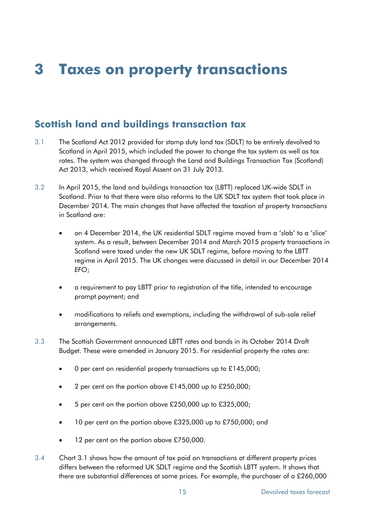# **3 Taxes on property transactions**

# **Scottish land and buildings transaction tax**

- 3.1 The Scotland Act 2012 provided for stamp duty land tax (SDLT) to be entirely devolved to Scotland in April 2015, which included the power to change the tax system as well as tax rates. The system was changed through the Land and Buildings Transaction Tax (Scotland) Act 2013, which received Royal Assent on 31 July 2013.
- 3.2 In April 2015, the land and buildings transaction tax (LBTT) replaced UK-wide SDLT in Scotland. Prior to that there were also reforms to the UK SDLT tax system that took place in December 2014. The main changes that have affected the taxation of property transactions in Scotland are:
	- on 4 December 2014, the UK residential SDLT regime moved from a 'slab' to a 'slice' system. As a result, between December 2014 and March 2015 property transactions in Scotland were taxed under the new UK SDLT regime, before moving to the LBTT regime in April 2015. The UK changes were discussed in detail in our December 2014 *EFO*;
	- a requirement to pay LBTT prior to registration of the title, intended to encourage prompt payment; and
	- modifications to reliefs and exemptions, including the withdrawal of sub-sale relief arrangements.
- 3.3 The Scottish Government announced LBTT rates and bands in its October 2014 Draft Budget. These were amended in January 2015. For residential property the rates are:
	- 0 per cent on residential property transactions up to £145,000;
	- 2 per cent on the portion above £145,000 up to £250,000;
	- 5 per cent on the portion above £250,000 up to £325,000;
	- 10 per cent on the portion above £325,000 up to £750,000; and
	- 12 per cent on the portion above £750,000.
- 3.4 Chart 3.1 shows how the amount of tax paid on transactions at different property prices differs between the reformed UK SDLT regime and the Scottish LBTT system. It shows that there are substantial differences at some prices. For example, the purchaser of a £260,000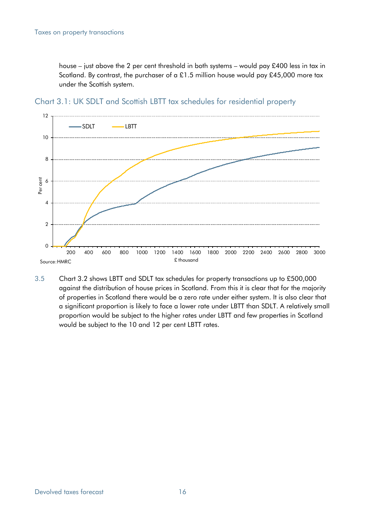house – just above the 2 per cent threshold in both systems – would pay £400 less in tax in Scotland. By contrast, the purchaser of a £1.5 million house would pay £45,000 more tax under the Scottish system.



Chart 3.1: UK SDLT and Scottish LBTT tax schedules for residential property

3.5 Chart 3.2 shows LBTT and SDLT tax schedules for property transactions up to £500,000 against the distribution of house prices in Scotland. From this it is clear that for the majority of properties in Scotland there would be a zero rate under either system. It is also clear that a significant proportion is likely to face a lower rate under LBTT than SDLT. A relatively small proportion would be subject to the higher rates under LBTT and few properties in Scotland would be subject to the 10 and 12 per cent LBTT rates.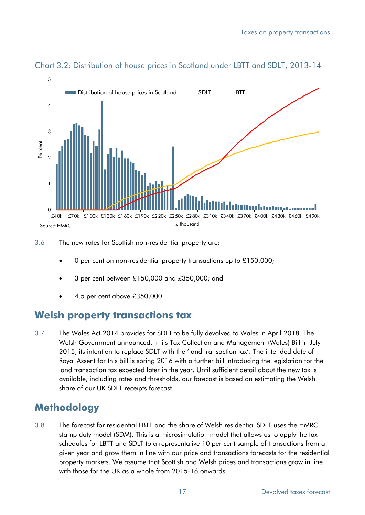

#### Chart 3.2: Distribution of house prices in Scotland under LBTT and SDLT, 2013-14

3.6 The new rates for Scottish non-residential property are:

- 0 per cent on non-residential property transactions up to £150,000;
- 3 per cent between £150,000 and £350,000; and
- 4.5 per cent above £350,000.

## **Welsh property transactions tax**

3.7 The Wales Act 2014 provides for SDLT to be fully devolved to Wales in April 2018. The Welsh Government announced, in its Tax Collection and Management (Wales) Bill in July 2015, its intention to replace SDLT with the 'land transaction tax'. The intended date of Royal Assent for this bill is spring 2016 with a further bill introducing the legislation for the land transaction tax expected later in the year. Until sufficient detail about the new tax is available, including rates and thresholds, our forecast is based on estimating the Welsh share of our UK SDLT receipts forecast.

# **Methodology**

3.8 The forecast for residential LBTT and the share of Welsh residential SDLT uses the HMRC stamp duty model (SDM). This is a microsimulation model that allows us to apply the tax schedules for LBTT and SDLT to a representative 10 per cent sample of transactions from a given year and grow them in line with our price and transactions forecasts for the residential property markets. We assume that Scottish and Welsh prices and transactions grow in line with those for the UK as a whole from 2015-16 onwards.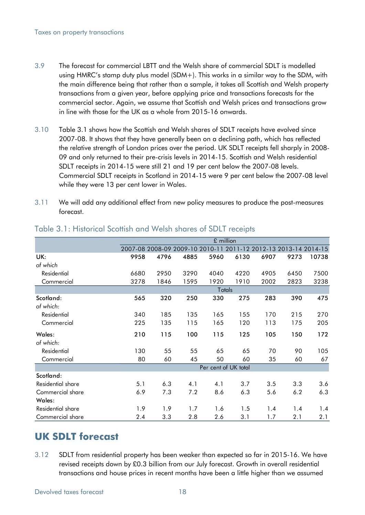- 3.9 The forecast for commercial LBTT and the Welsh share of commercial SDLT is modelled using HMRC's stamp duty plus model (SDM+). This works in a similar way to the SDM, with the main difference being that rather than a sample, it takes all Scottish and Welsh property transactions from a given year, before applying price and transactions forecasts for the commercial sector. Again, we assume that Scottish and Welsh prices and transactions grow in line with those for the UK as a whole from 2015-16 onwards.
- 3.10 Table 3.1 shows how the Scottish and Welsh shares of SDLT receipts have evolved since 2007-08. It shows that they have generally been on a declining path, which has reflected the relative strength of London prices over the period. UK SDLT receipts fell sharply in 2008- 09 and only returned to their pre-crisis levels in 2014-15. Scottish and Welsh residential SDLT receipts in 2014-15 were still 21 and 19 per cent below the 2007-08 levels. Commercial SDLT receipts in Scotland in 2014-15 were 9 per cent below the 2007-08 level while they were 13 per cent lower in Wales.
- 3.11 We will add any additional effect from new policy measures to produce the post-measures forecast.

|                   |      | £ million |      |      |                      |                                                                 |      |       |  |  |
|-------------------|------|-----------|------|------|----------------------|-----------------------------------------------------------------|------|-------|--|--|
|                   |      |           |      |      |                      | 2007-08 2008-09 2009-10 2010-11 2011-12 2012-13 2013-14 2014-15 |      |       |  |  |
| UK:               | 9958 | 4796      | 4885 | 5960 | 6130                 | 6907                                                            | 9273 | 10738 |  |  |
| of which          |      |           |      |      |                      |                                                                 |      |       |  |  |
| Residential       | 6680 | 2950      | 3290 | 4040 | 4220                 | 4905                                                            | 6450 | 7500  |  |  |
| Commercial        | 3278 | 1846      | 1595 | 1920 | 1910                 | 2002                                                            | 2823 | 3238  |  |  |
|                   |      |           |      |      | Totals               |                                                                 |      |       |  |  |
| Scotland:         | 565  | 320       | 250  | 330  | 275                  | 283                                                             | 390  | 475   |  |  |
| of which:         |      |           |      |      |                      |                                                                 |      |       |  |  |
| Residential       | 340  | 185       | 135  | 165  | 155                  | 170                                                             | 215  | 270   |  |  |
| Commercial        | 225  | 135       | 115  | 165  | 120                  | 113                                                             | 175  | 205   |  |  |
| Wales:            | 210  | 115       | 100  | 115  | 125                  | 105                                                             | 150  | 172   |  |  |
| of which:         |      |           |      |      |                      |                                                                 |      |       |  |  |
| Residential       | 130  | 55        | 55   | 65   | 65                   | 70                                                              | 90   | 105   |  |  |
| Commercial        | 80   | 60        | 45   | 50   | 60                   | 35                                                              | 60   | 67    |  |  |
|                   |      |           |      |      | Per cent of UK total |                                                                 |      |       |  |  |
| Scotland:         |      |           |      |      |                      |                                                                 |      |       |  |  |
| Residential share | 5.1  | 6.3       | 4.1  | 4.1  | 3.7                  | 3.5                                                             | 3.3  | 3.6   |  |  |
| Commercial share  | 6.9  | 7.3       | 7.2  | 8.6  | 6.3                  | 5.6                                                             | 6.2  | 6.3   |  |  |
| Wales:            |      |           |      |      |                      |                                                                 |      |       |  |  |
| Residential share | 1.9  | 1.9       | 1.7  | 1.6  | 1.5                  | 1.4                                                             | 1.4  | 1.4   |  |  |
| Commercial share  | 2.4  | 3.3       | 2.8  | 2.6  | 3.1                  | 1.7                                                             | 2.1  | 2.1   |  |  |

#### Table 3.1: Historical Scottish and Welsh shares of SDLT receipts

# **UK SDLT forecast**

3.12 SDLT from residential property has been weaker than expected so far in 2015-16. We have revised receipts down by £0.3 billion from our July forecast. Growth in overall residential transactions and house prices in recent months have been a little higher than we assumed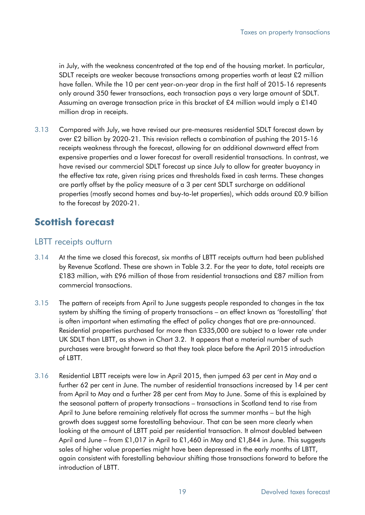in July, with the weakness concentrated at the top end of the housing market. In particular, SDLT receipts are weaker because transactions among properties worth at least £2 million have fallen. While the 10 per cent year-on-year drop in the first half of 2015-16 represents only around 350 fewer transactions, each transaction pays a very large amount of SDLT. Assuming an average transaction price in this bracket of £4 million would imply a £140 million drop in receipts.

3.13 Compared with July, we have revised our pre-measures residential SDLT forecast down by over £2 billion by 2020-21. This revision reflects a combination of pushing the 2015-16 receipts weakness through the forecast, allowing for an additional downward effect from expensive properties and a lower forecast for overall residential transactions. In contrast, we have revised our commercial SDLT forecast up since July to allow for greater buoyancy in the effective tax rate, given rising prices and thresholds fixed in cash terms. These changes are partly offset by the policy measure of a 3 per cent SDLT surcharge on additional properties (mostly second homes and buy-to-let properties), which adds around £0.9 billion to the forecast by 2020-21.

# **Scottish forecast**

## LBTT receipts outturn

- 3.14 At the time we closed this forecast, six months of LBTT receipts outturn had been published by Revenue Scotland. These are shown in Table 3.2. For the year to date, total receipts are £183 million, with £96 million of those from residential transactions and £87 million from commercial transactions.
- 3.15 The pattern of receipts from April to June suggests people responded to changes in the tax system by shifting the timing of property transactions – an effect known as 'forestalling' that is often important when estimating the effect of policy changes that are pre-announced. Residential properties purchased for more than £335,000 are subject to a lower rate under UK SDLT than LBTT, as shown in Chart 3.2. It appears that a material number of such purchases were brought forward so that they took place before the April 2015 introduction of LBTT.
- 3.16 Residential LBTT receipts were low in April 2015, then jumped 63 per cent in May and a further 62 per cent in June. The number of residential transactions increased by 14 per cent from April to May and a further 28 per cent from May to June. Some of this is explained by the seasonal pattern of property transactions – transactions in Scotland tend to rise from April to June before remaining relatively flat across the summer months – but the high growth does suggest some forestalling behaviour. That can be seen more clearly when looking at the amount of LBTT paid per residential transaction. It almost doubled between April and June – from £1,017 in April to £1,460 in May and £1,844 in June. This suggests sales of higher value properties might have been depressed in the early months of LBTT, again consistent with forestalling behaviour shifting those transactions forward to before the introduction of LBTT.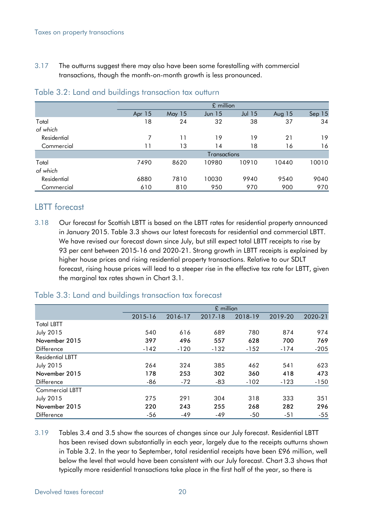3.17 The outturns suggest there may also have been some forestalling with commercial transactions, though the month-on-month growth is less pronounced.

|             |        |        | £ million         |          |          |                   |
|-------------|--------|--------|-------------------|----------|----------|-------------------|
|             | Apr 15 | May 15 | Jun <sub>15</sub> | $Jul$ 15 | Aug $15$ | Sep <sub>15</sub> |
| Total       | 18     | 24     | 32                | 38       | 37       | 34                |
| of which    |        |        |                   |          |          |                   |
| Residential |        | 11     | 19                | 19       | 21       | 19                |
| Commercial  | 11     | 13     | 14                | 18       | 16       | 16                |
|             |        |        | Transactions      |          |          |                   |
| Total       | 7490   | 8620   | 10980             | 10910    | 10440    | 10010             |
| of which    |        |        |                   |          |          |                   |
| Residential | 6880   | 7810   | 10030             | 9940     | 9540     | 9040              |
| Commercial  | 610    | 810    | 950               | 970      | 900      | 970               |

#### Table 3.2: Land and buildings transaction tax outturn

## LBTT forecast

3.18 Our forecast for Scottish LBTT is based on the LBTT rates for residential property announced in January 2015. Table 3.3 shows our latest forecasts for residential and commercial LBTT. We have revised our forecast down since July, but still expect total LBTT receipts to rise by 93 per cent between 2015-16 and 2020-21. Strong growth in LBTT receipts is explained by higher house prices and rising residential property transactions. Relative to our SDLT forecast, rising house prices will lead to a steeper rise in the effective tax rate for LBTT, given the marginal tax rates shown in Chart 3.1.

|                         |         |         | £ million |         |         |         |
|-------------------------|---------|---------|-----------|---------|---------|---------|
|                         | 2015-16 | 2016-17 | 2017-18   | 2018-19 | 2019-20 | 2020-21 |
| <b>Total LBTT</b>       |         |         |           |         |         |         |
| <b>July 2015</b>        | 540     | 616     | 689       | 780     | 874     | 974     |
| November 2015           | 397     | 496     | 557       | 628     | 700     | 769     |
| Difference              | $-142$  | $-120$  | $-132$    | $-152$  | $-174$  | $-205$  |
| <b>Residential LBTT</b> |         |         |           |         |         |         |
| <b>July 2015</b>        | 264     | 324     | 385       | 462     | 541     | 623     |
| November 2015           | 178     | 253     | 302       | 360     | 418     | 473     |
| Difference              | -86     | $-72$   | -83       | $-102$  | $-123$  | $-150$  |
| <b>Commercial LBTT</b>  |         |         |           |         |         |         |
| <b>July 2015</b>        | 275     | 291     | 304       | 318     | 333     | 351     |
| November 2015           | 220     | 243     | 255       | 268     | 282     | 296     |
| <b>Difference</b>       | -56     | $-49$   | $-49$     | $-50$   | -51     | $-55$   |

#### Table 3.3: Land and buildings transaction tax forecast

3.19 Tables 3.4 and 3.5 show the sources of changes since our July forecast. Residential LBTT has been revised down substantially in each year, largely due to the receipts outturns shown in Table 3.2. In the year to September, total residential receipts have been £96 million, well below the level that would have been consistent with our July forecast. Chart 3.3 shows that typically more residential transactions take place in the first half of the year, so there is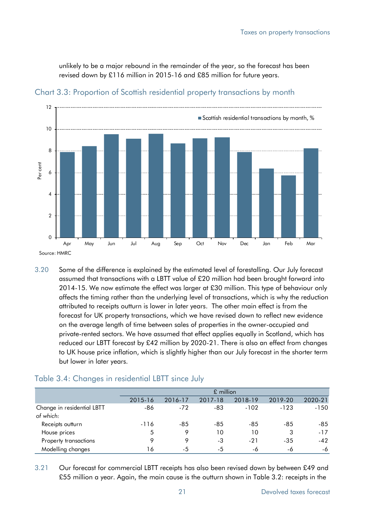unlikely to be a major rebound in the remainder of the year, so the forecast has been revised down by £116 million in 2015-16 and £85 million for future years.



Chart 3.3: Proportion of Scottish residential property transactions by month

3.20 Some of the difference is explained by the estimated level of forestalling. Our July forecast assumed that transactions with a LBTT value of £20 million had been brought forward into 2014-15. We now estimate the effect was larger at £30 million. This type of behaviour only affects the timing rather than the underlying level of transactions, which is why the reduction attributed to receipts outturn is lower in later years. The other main effect is from the forecast for UK property transactions, which we have revised down to reflect new evidence on the average length of time between sales of properties in the owner-occupied and private-rented sectors. We have assumed that effect applies equally in Scotland, which has reduced our LBTT forecast by £42 million by 2020-21. There is also an effect from changes to UK house price inflation, which is slightly higher than our July forecast in the shorter term but lower in later years.

#### Table 3.4: Changes in residential LBTT since July

|                                         |         |         | $£$ million |         |         |         |
|-----------------------------------------|---------|---------|-------------|---------|---------|---------|
|                                         | 2015-16 | 2016-17 | 2017-18     | 2018-19 | 2019-20 | 2020-21 |
| Change in residential LBTT<br>of which: | -86     | $-72$   | -83         | $-102$  | $-123$  | $-150$  |
| Receipts outturn                        | $-116$  | -85     | -85         | -85     | -85     | -85     |
| House prices                            | 5       | 9       | 10          | 10      | 3       | $-17$   |
| Property transactions                   | Q       | 9       | -3          | $-21$   | $-35$   | $-42$   |
| Modelling changes                       | 16      | -5      | -5          | -6      | -6      | -6      |

3.21 Our forecast for commercial LBTT receipts has also been revised down by between £49 and £55 million a year. Again, the main cause is the outturn shown in Table 3.2: receipts in the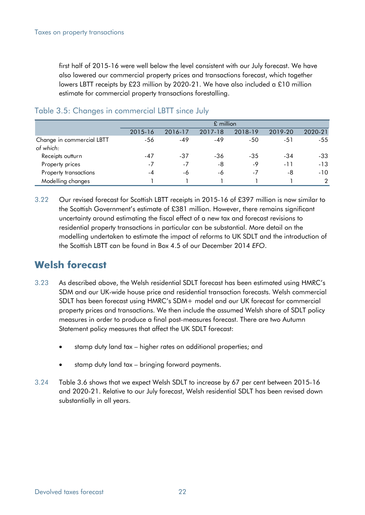first half of 2015-16 were well below the level consistent with our July forecast. We have also lowered our commercial property prices and transactions forecast, which together lowers LBTT receipts by £23 million by 2020-21. We have also included a £10 million estimate for commercial property transactions forestalling.

|                           |         |         | £ million |         |         |               |
|---------------------------|---------|---------|-----------|---------|---------|---------------|
|                           | 2015-16 | 2016-17 | 2017-18   | 2018-19 | 2019-20 | 2020-21       |
| Change in commercial LBTT | -56     | $-49$   | $-49$     | -50     | $-51$   | $-55$         |
| of which:                 |         |         |           |         |         |               |
| Receipts outturn          | -47     | -37     | -36       | -35     | -34     | $-33$         |
| Property prices           | $-7$    | $-7$    | -8        | $-9$    | $-11$   | $-13$         |
| Property transactions     | -4      | -6      | -6        | $-7$    | -8      | $-10$         |
| Modelling changes         |         |         |           |         |         | $\mathcal{P}$ |

#### Table 3.5: Changes in commercial LBTT since July

3.22 Our revised forecast for Scottish LBTT receipts in 2015-16 of £397 million is now similar to the Scottish Government's estimate of £381 million. However, there remains significant uncertainty around estimating the fiscal effect of a new tax and forecast revisions to residential property transactions in particular can be substantial. More detail on the modelling undertaken to estimate the impact of reforms to UK SDLT and the introduction of the Scottish LBTT can be found in Box 4.5 of our December 2014 *EFO*.

# **Welsh forecast**

- 3.23 As described above, the Welsh residential SDLT forecast has been estimated using HMRC's SDM and our UK-wide house price and residential transaction forecasts. Welsh commercial SDLT has been forecast using HMRC's SDM+ model and our UK forecast for commercial property prices and transactions. We then include the assumed Welsh share of SDLT policy measures in order to produce a final post-measures forecast. There are two Autumn Statement policy measures that affect the UK SDLT forecast:
	- stamp duty land tax higher rates on additional properties; and
	- stamp duty land tax bringing forward payments.
- 3.24 Table 3.6 shows that we expect Welsh SDLT to increase by 67 per cent between 2015-16 and 2020-21. Relative to our July forecast, Welsh residential SDLT has been revised down substantially in all years.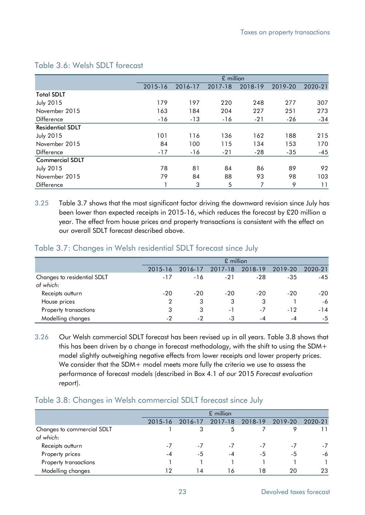|                         |         |         | £ million |         |         |                |
|-------------------------|---------|---------|-----------|---------|---------|----------------|
|                         | 2015-16 | 2016-17 | 2017-18   | 2018-19 | 2019-20 | 2020-21        |
| <b>Total SDLT</b>       |         |         |           |         |         |                |
| <b>July 2015</b>        | 179     | 197     | 220       | 248     | 277     | 307            |
| November 2015           | 163     | 184     | 204       | 227     | 251     | 273            |
| Difference              | $-16$   | $-13$   | -16       | $-21$   | -26     | $-34$          |
| <b>Residential SDLT</b> |         |         |           |         |         |                |
| <b>July 2015</b>        | 101     | 116     | 136       | 162     | 188     | 215            |
| November 2015           | 84      | 100     | 115       | 134     | 153     | 170            |
| <b>Difference</b>       | $-17$   | $-16$   | $-21$     | -28     | $-35$   | $-45$          |
| <b>Commercial SDLT</b>  |         |         |           |         |         |                |
| <b>July 2015</b>        | 78      | 81      | 84        | 86      | 89      | 92             |
| November 2015           | 79      | 84      | 88        | 93      | 98      | 103            |
| Difference              |         | 3       | 5         | 7       | 9       | $\overline{1}$ |

### Table 3.6: Welsh SDLT forecast

3.25 Table 3.7 shows that the most significant factor driving the downward revision since July has been lower than expected receipts in 2015-16, which reduces the forecast by £20 million a year. The effect from house prices and property transactions is consistent with the effect on our overall SDLT forecast described above.

## Table 3.7: Changes in Welsh residential SDLT forecast since July

|                                          |         |         | £ million |         |         |         |
|------------------------------------------|---------|---------|-----------|---------|---------|---------|
|                                          | 2015-16 | 2016-17 | 2017-18   | 2018-19 | 2019-20 | 2020-21 |
| Changes to residential SDLT<br>of which: | $-17$   | $-16$   | $-21$     | $-28$   | $-35$   | $-45$   |
| Receipts outturn                         | $-20$   | $-20$   | $-20$     | $-20$   | $-20$   | -20     |
| House prices                             | 2       | 3       | 3         | 3       |         | $-6$    |
| Property transactions                    | 3       | 3       | $\sim$ 1  | $-7$    | $-12$   | -14     |
| Modelling changes                        | $-2$    | - 2     | -3        | - 4     | -4      | $-5$    |

3.26 Our Welsh commercial SDLT forecast has been revised up in all years. Table 3.8 shows that this has been driven by a change in forecast methodology, with the shift to using the SDM+ model slightly outweighing negative effects from lower receipts and lower property prices. We consider that the SDM+ model meets more fully the criteria we use to assess the performance of forecast models (described in Box 4.1 of our 2015 *Forecast evaluation report*).

#### Table 3.8: Changes in Welsh commercial SDLT forecast since July

|                                         |         |         | £ million |         |                          |         |
|-----------------------------------------|---------|---------|-----------|---------|--------------------------|---------|
|                                         | 2015-16 | 2016-17 | 2017-18   | 2018-19 | 2019-20                  | 2020-21 |
| Changes to commercial SDLT<br>of which: |         |         |           |         |                          |         |
| Receipts outturn                        | -7      | $-1$    | - /       | $-1$    | $\overline{\phantom{0}}$ | -7      |
| Property prices                         | -4      | -5      | -4        | -5      | -5                       | -6      |
| Property transactions                   |         |         |           |         |                          |         |
| Modelling changes                       | 12      | ا 4     | 16        | 18      | 20                       | 23      |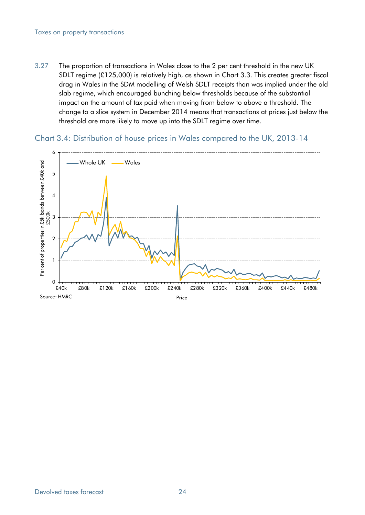#### Taxes on property transactions

3.27 The proportion of transactions in Wales close to the 2 per cent threshold in the new UK SDLT regime (£125,000) is relatively high, as shown in Chart 3.3. This creates greater fiscal drag in Wales in the SDM modelling of Welsh SDLT receipts than was implied under the old slab regime, which encouraged bunching below thresholds because of the substantial impact on the amount of tax paid when moving from below to above a threshold. The change to a slice system in December 2014 means that transactions at prices just below the threshold are more likely to move up into the SDLT regime over time.

Chart 3.4: Distribution of house prices in Wales compared to the UK, 2013-14

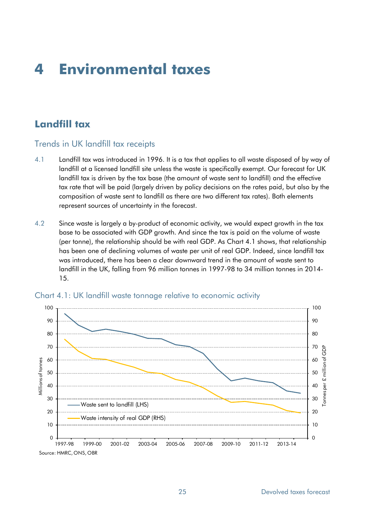# **4 Environmental taxes**

# **Landfill tax**

## Trends in UK landfill tax receipts

- 4.1 Landfill tax was introduced in 1996. It is a tax that applies to all waste disposed of by way of landfill at a licensed landfill site unless the waste is specifically exempt. Our forecast for UK landfill tax is driven by the tax base (the amount of waste sent to landfill) and the effective tax rate that will be paid (largely driven by policy decisions on the rates paid, but also by the composition of waste sent to landfill as there are two different tax rates). Both elements represent sources of uncertainty in the forecast.
- 4.2 Since waste is largely a by-product of economic activity, we would expect growth in the tax base to be associated with GDP growth. And since the tax is paid on the volume of waste (per tonne), the relationship should be with real GDP. As Chart 4.1 shows, that relationship has been one of declining volumes of waste per unit of real GDP. Indeed, since landfill tax was introduced, there has been a clear downward trend in the amount of waste sent to landfill in the UK, falling from 96 million tonnes in 1997-98 to 34 million tonnes in 2014- 15.



#### Chart 4.1: UK landfill waste tonnage relative to economic activity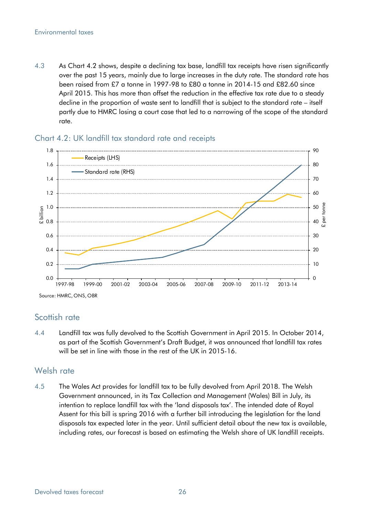4.3 As Chart 4.2 shows, despite a declining tax base, landfill tax receipts have risen significantly over the past 15 years, mainly due to large increases in the duty rate. The standard rate has been raised from £7 a tonne in 1997-98 to £80 a tonne in 2014-15 and £82.60 since April 2015. This has more than offset the reduction in the effective tax rate due to a steady decline in the proportion of waste sent to landfill that is subject to the standard rate – itself partly due to HMRC losing a court case that led to a narrowing of the scope of the standard rate.



#### Chart 4.2: UK landfill tax standard rate and receipts

## Scottish rate

4.4 Landfill tax was fully devolved to the Scottish Government in April 2015. In October 2014, as part of the Scottish Government's Draft Budget, it was announced that landfill tax rates will be set in line with those in the rest of the UK in 2015-16.

## Welsh rate

4.5 The Wales Act provides for landfill tax to be fully devolved from April 2018. The Welsh Government announced, in its Tax Collection and Management (Wales) Bill in July, its intention to replace landfill tax with the 'land disposals tax'. The intended date of Royal Assent for this bill is spring 2016 with a further bill introducing the legislation for the land disposals tax expected later in the year. Until sufficient detail about the new tax is available, including rates, our forecast is based on estimating the Welsh share of UK landfill receipts.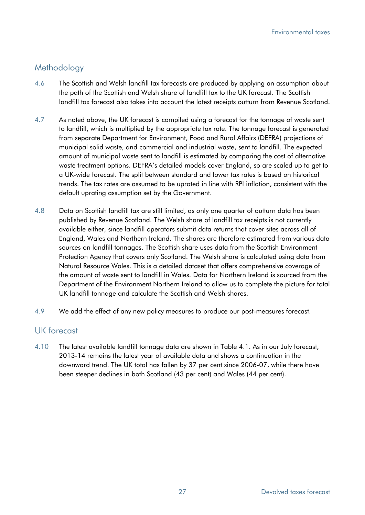## Methodology

- 4.6 The Scottish and Welsh landfill tax forecasts are produced by applying an assumption about the path of the Scottish and Welsh share of landfill tax to the UK forecast. The Scottish landfill tax forecast also takes into account the latest receipts outturn from Revenue Scotland.
- 4.7 As noted above, the UK forecast is compiled using a forecast for the tonnage of waste sent to landfill, which is multiplied by the appropriate tax rate. The tonnage forecast is generated from separate Department for Environment, Food and Rural Affairs (DEFRA) projections of municipal solid waste, and commercial and industrial waste, sent to landfill. The expected amount of municipal waste sent to landfill is estimated by comparing the cost of alternative waste treatment options. DEFRA's detailed models cover England, so are scaled up to get to a UK-wide forecast. The split between standard and lower tax rates is based on historical trends. The tax rates are assumed to be uprated in line with RPI inflation, consistent with the default uprating assumption set by the Government.
- 4.8 Data on Scottish landfill tax are still limited, as only one quarter of outturn data has been published by Revenue Scotland. The Welsh share of landfill tax receipts is not currently available either, since landfill operators submit data returns that cover sites across all of England, Wales and Northern Ireland. The shares are therefore estimated from various data sources on landfill tonnages. The Scottish share uses data from the Scottish Environment Protection Agency that covers only Scotland. The Welsh share is calculated using data from Natural Resource Wales. This is a detailed dataset that offers comprehensive coverage of the amount of waste sent to landfill in Wales. Data for Northern Ireland is sourced from the Department of the Environment Northern Ireland to allow us to complete the picture for total UK landfill tonnage and calculate the Scottish and Welsh shares.
- 4.9 We add the effect of any new policy measures to produce our post-measures forecast.

## UK forecast

4.10 The latest available landfill tonnage data are shown in Table 4.1. As in our July forecast, 2013-14 remains the latest year of available data and shows a continuation in the downward trend. The UK total has fallen by 37 per cent since 2006-07, while there have been steeper declines in both Scotland (43 per cent) and Wales (44 per cent).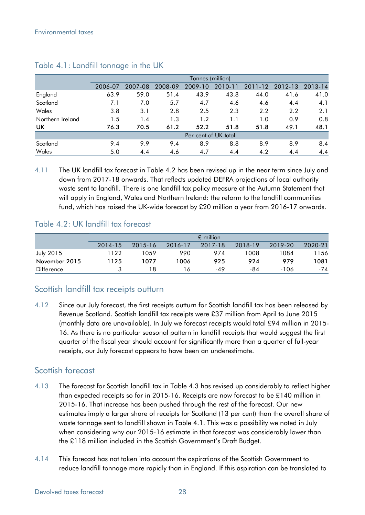|                  |         |         |         | Tonnes (million)     |         |         |         |         |
|------------------|---------|---------|---------|----------------------|---------|---------|---------|---------|
|                  | 2006-07 | 2007-08 | 2008-09 | 2009-10              | 2010-11 | 2011-12 | 2012-13 | 2013-14 |
| England          | 63.9    | 59.0    | 51.4    | 43.9                 | 43.8    | 44.0    | 41.6    | 41.0    |
| Scotland         | 7.1     | 7.0     | 5.7     | 4.7                  | 4.6     | 4.6     | 4.4     | 4.1     |
| Wales            | 3.8     | 3.1     | 2.8     | 2.5                  | 2.3     | 2.2     | 2.2     | 2.1     |
| Northern Ireland | 1.5     | 1.4     | 1.3     | 1.2                  | 1.1     | 1.0     | 0.9     | 0.8     |
| UK               | 76.3    | 70.5    | 61.2    | 52.2                 | 51.8    | 51.8    | 49.1    | 48.1    |
|                  |         |         |         | Per cent of UK total |         |         |         |         |
| Scotland         | 9.4     | 9.9     | 9.4     | 8.9                  | 8.8     | 8.9     | 8.9     | 8.4     |
| Wales            | 5.0     | 4.4     | 4.6     | 4.7                  | 4.4     | 4.2     | 4.4     | 4.4     |

#### Table 4.1: Landfill tonnage in the UK

4.11 The UK landfill tax forecast in Table 4.2 has been revised up in the near term since July and down from 2017-18 onwards. That reflects updated DEFRA projections of local authority waste sent to landfill. There is one landfill tax policy measure at the Autumn Statement that will apply in England, Wales and Northern Ireland: the reform to the landfill communities fund, which has raised the UK-wide forecast by £20 million a year from 2016-17 onwards.

## Table 4.2: UK landfill tax forecast

|                   | $£$ million |         |         |         |         |         |         |  |  |  |  |
|-------------------|-------------|---------|---------|---------|---------|---------|---------|--|--|--|--|
|                   | 2014-15     | 2015-16 | 2016-17 | 2017-18 | 2018-19 | 2019-20 | 2020-21 |  |  |  |  |
| <b>July 2015</b>  | 1122        | 1059    | 990     | 974     | 1008    | 1084    | l 156   |  |  |  |  |
| November 2015     | 1125        | 1077    | 1006    | 925     | 924     | 979     | 1081    |  |  |  |  |
| <b>Difference</b> |             | 18      | 16      | $-49$   | -84     | $-106$  | -74     |  |  |  |  |

## Scottish landfill tax receipts outturn

4.12 Since our July forecast, the first receipts outturn for Scottish landfill tax has been released by Revenue Scotland. Scottish landfill tax receipts were £37 million from April to June 2015 (monthly data are unavailable). In July we forecast receipts would total £94 million in 2015- 16. As there is no particular seasonal pattern in landfill receipts that would suggest the first quarter of the fiscal year should account for significantly more than a quarter of full-year receipts, our July forecast appears to have been an underestimate.

## Scottish forecast

- 4.13 The forecast for Scottish landfill tax in Table 4.3 has revised up considerably to reflect higher than expected receipts so far in 2015-16. Receipts are now forecast to be £140 million in 2015-16. That increase has been pushed through the rest of the forecast. Our new estimates imply a larger share of receipts for Scotland (13 per cent) than the overall share of waste tonnage sent to landfill shown in Table 4.1. This was a possibility we noted in July when considering why our 2015-16 estimate in that forecast was considerably lower than the £118 million included in the Scottish Government's Draft Budget.
- 4.14 This forecast has not taken into account the aspirations of the Scottish Government to reduce landfill tonnage more rapidly than in England. If this aspiration can be translated to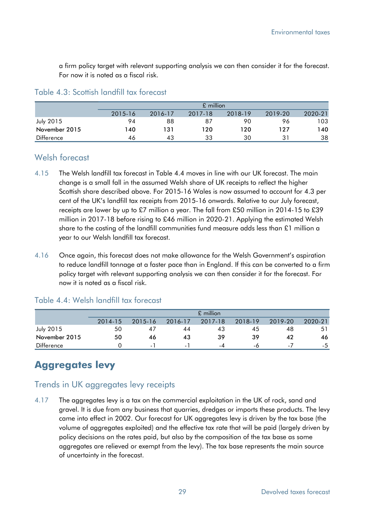a firm policy target with relevant supporting analysis we can then consider it for the forecast. For now it is noted as a fiscal risk.

#### Table 4.3: Scottish landfill tax forecast

|                  |         | $£$ million |         |         |         |         |  |  |  |  |  |
|------------------|---------|-------------|---------|---------|---------|---------|--|--|--|--|--|
|                  | 2015-16 | 2016-17     | 2017-18 | 2018-19 | 2019-20 | 2020-21 |  |  |  |  |  |
| <b>July 2015</b> | 94      | 88          | 87      | 90      | 96      | 103     |  |  |  |  |  |
| November 2015    | 140     | 131         | 120     | 120     | 127     | 140     |  |  |  |  |  |
| Difference       | 46      | 43          | 33      | 30      | 31      | 38      |  |  |  |  |  |

## Welsh forecast

- 4.15 The Welsh landfill tax forecast in Table 4.4 moves in line with our UK forecast. The main change is a small fall in the assumed Welsh share of UK receipts to reflect the higher Scottish share described above. For 2015-16 Wales is now assumed to account for 4.3 per cent of the UK's landfill tax receipts from 2015-16 onwards. Relative to our July forecast, receipts are lower by up to £7 million a year. The fall from £50 million in 2014-15 to £39 million in 2017-18 before rising to £46 million in 2020-21. Applying the estimated Welsh share to the costing of the landfill communities fund measure adds less than £1 million a year to our Welsh landfill tax forecast.
- 4.16 Once again, this forecast does not make allowance for the Welsh Government's aspiration to reduce landfill tonnage at a faster pace than in England. If this can be converted to a firm policy target with relevant supporting analysis we can then consider it for the forecast. For now it is noted as a fiscal risk.

|                  |         | $£$ million              |         |         |         |                |         |  |  |  |  |  |
|------------------|---------|--------------------------|---------|---------|---------|----------------|---------|--|--|--|--|--|
|                  | 2014-15 | 2015-16                  | 2016-17 | 2017-18 | 2018-19 | 2019-20        | 2020-21 |  |  |  |  |  |
| <b>July 2015</b> | 50      | 4/                       | 44      | 43      | 45      | 48             | 51      |  |  |  |  |  |
| November 2015    | 50      | 46                       | 43      | 39      | 39      | 42             | 46      |  |  |  |  |  |
| Difference       |         | $\overline{\phantom{0}}$ | - 1     | -4      | -6      | $\blacksquare$ | -5      |  |  |  |  |  |

## Table 4.4: Welsh landfill tax forecast

# **Aggregates levy**

## Trends in UK aggregates levy receipts

4.17 The aggregates levy is a tax on the commercial exploitation in the UK of rock, sand and gravel. It is due from any business that quarries, dredges or imports these products. The levy came into effect in 2002. Our forecast for UK aggregates levy is driven by the tax base (the volume of aggregates exploited) and the effective tax rate that will be paid (largely driven by policy decisions on the rates paid, but also by the composition of the tax base as some aggregates are relieved or exempt from the levy). The tax base represents the main source of uncertainty in the forecast.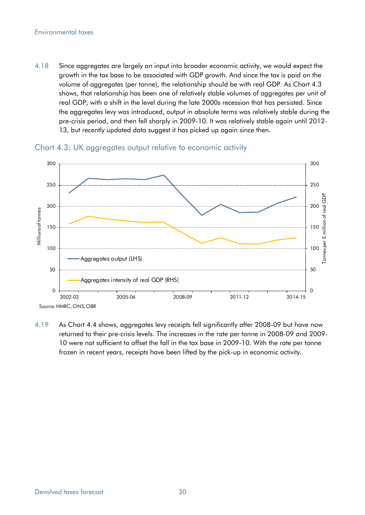#### Environmental taxes

4.18 Since aggregates are largely an input into broader economic activity, we would expect the growth in the tax base to be associated with GDP growth. And since the tax is paid on the volume of aggregates (per tonne), the relationship should be with real GDP. As Chart 4.3 shows, that relationship has been one of relatively stable volumes of aggregates per unit of real GDP, with a shift in the level during the late 2000s recession that has persisted. Since the aggregates levy was introduced, output in absolute terms was relatively stable during the pre-crisis period, and then fell sharply in 2009-10. It was relatively stable again until 2012- 13, but recently updated data suggest it has picked up again since then.



Chart 4.3: UK aggregates output relative to economic activity

4.19 As Chart 4.4 shows, aggregates levy receipts fell significantly after 2008-09 but have now returned to their pre-crisis levels. The increases in the rate per tonne in 2008-09 and 2009- 10 were not sufficient to offset the fall in the tax base in 2009-10. With the rate per tonne frozen in recent years, receipts have been lifted by the pick-up in economic activity.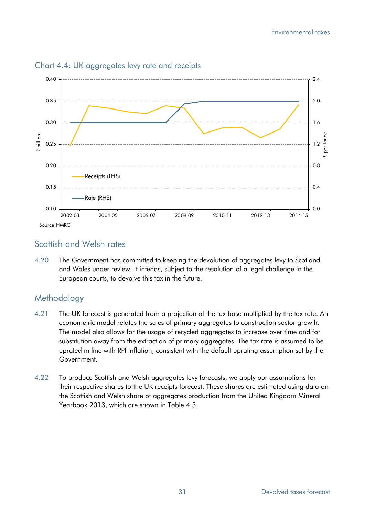

Chart 4.4: UK aggregates levy rate and receipts

## Scottish and Welsh rates

4.20 The Government has committed to keeping the devolution of aggregates levy to Scotland and Wales under review. It intends, subject to the resolution of a legal challenge in the European courts, to devolve this tax in the future.

# **Methodology**

- 4.21 The UK forecast is generated from a projection of the tax base multiplied by the tax rate. An econometric model relates the sales of primary aggregates to construction sector growth. The model also allows for the usage of recycled aggregates to increase over time and for substitution away from the extraction of primary aggregates. The tax rate is assumed to be uprated in line with RPI inflation, consistent with the default uprating assumption set by the Government.
- 4.22 To produce Scottish and Welsh aggregates levy forecasts, we apply our assumptions for their respective shares to the UK receipts forecast. These shares are estimated using data on the Scottish and Welsh share of aggregates production from the United Kingdom Mineral Yearbook 2013, which are shown in Table 4.5.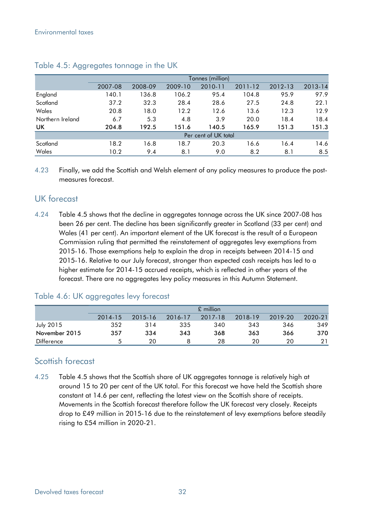|                  |         |         |         | Tonnes (million)     |         |         |         |
|------------------|---------|---------|---------|----------------------|---------|---------|---------|
|                  | 2007-08 | 2008-09 | 2009-10 | 2010-11              | 2011-12 | 2012-13 | 2013-14 |
| England          | 140.1   | 136.8   | 106.2   | 95.4                 | 104.8   | 95.9    | 97.9    |
| Scotland         | 37.2    | 32.3    | 28.4    | 28.6                 | 27.5    | 24.8    | 22.1    |
| Wales            | 20.8    | 18.0    | 12.2    | 12.6                 | 13.6    | 12.3    | 12.9    |
| Northern Ireland | 6.7     | 5.3     | 4.8     | 3.9                  | 20.0    | 18.4    | 18.4    |
| UK               | 204.8   | 192.5   | 151.6   | 140.5                | 165.9   | 151.3   | 151.3   |
|                  |         |         |         | Per cent of UK total |         |         |         |
| Scotland         | 18.2    | 16.8    | 18.7    | 20.3                 | 16.6    | 16.4    | 14.6    |
| Wales            | 10.2    | 9.4     | 8.1     | 9.0                  | 8.2     | 8.1     | 8.5     |

#### Table 4.5: Aggregates tonnage in the UK

4.23 Finally, we add the Scottish and Welsh element of any policy measures to produce the postmeasures forecast.

## UK forecast

4.24 Table 4.5 shows that the decline in aggregates tonnage across the UK since 2007-08 has been 26 per cent. The decline has been significantly greater in Scotland (33 per cent) and Wales (41 per cent). An important element of the UK forecast is the result of a European Commission ruling that permitted the reinstatement of aggregates levy exemptions from 2015-16. Those exemptions help to explain the drop in receipts between 2014-15 and 2015-16. Relative to our July forecast, stronger than expected cash receipts has led to a higher estimate for 2014-15 accrued receipts, which is reflected in other years of the forecast. There are no aggregates levy policy measures in this Autumn Statement.

## Table 4.6: UK aggregates levy forecast

|                   |         | $£$ million |         |         |         |         |         |  |  |  |  |  |
|-------------------|---------|-------------|---------|---------|---------|---------|---------|--|--|--|--|--|
|                   | 2014-15 | 2015-16     | 2016-17 | 2017-18 | 2018-19 | 2019-20 | 2020-21 |  |  |  |  |  |
| <b>July 2015</b>  | 352     | 314         | 335     | 340     | 343     | 346     | 349     |  |  |  |  |  |
| November 2015     | 357     | 334         | 343     | 368     | 363     | 366     | 370     |  |  |  |  |  |
| <b>Difference</b> | д.      | 20          |         | 28      | 20      | 20      | 21      |  |  |  |  |  |

## Scottish forecast

4.25 Table 4.5 shows that the Scottish share of UK aggregates tonnage is relatively high at around 15 to 20 per cent of the UK total. For this forecast we have held the Scottish share constant at 14.6 per cent, reflecting the latest view on the Scottish share of receipts. Movements in the Scottish forecast therefore follow the UK forecast very closely. Receipts drop to £49 million in 2015-16 due to the reinstatement of levy exemptions before steadily rising to £54 million in 2020-21.